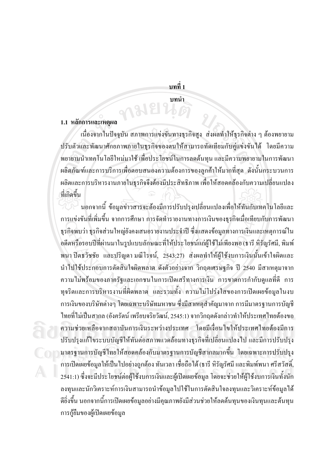บทที่ 1

บทน้ำ

1918

### 1.1 หลักการและเหตผล

้เนื่องจากในปัจจุบัน สภาพการแข่งขันทางธุรกิจสูง ส่งผลทำให้ธุรกิจต่าง ๆ ต้องพยายาม ปรับตัวและพัฒนาศักยภาพภายในธุรกิจของตนให้สามารถทัดเทียมกับคู่แข่งขันได้ โดยมีความ พยายามนำเทคโนโลยีใหม่มาใช้ เพื่อประโยชน์ในการลดต้นทุน และมีความพยายามในการพัฒนา ผลิตภัณฑ์และการบริการเพื่อตอบสนองความต้องการของลูกค้าให้มากที่สุด ดังนั้นกระบวนการ ผลิตและการบริหารงานภายในธุรกิจจึงต้องมีประสิทธิภาพ เพื่อให้สอดคล้องกับความเปลี่ยนแปลง ที่เกิดขึ้น

้นอกจากนี้ ข้อมูลข่าวสารจะต้องมีการปรับปรุงเปลี่ยนแปลงเพื่อให้ทันกับเทคโนโลยีและ ึการแข่งขันที่เพิ่มขึ้น จากการศึกษา การจัดทำรายงานทางการเงินของธุรกิจเมื่อเทียบกับการพัฒนา ฐรกิจพบว่า ฐรกิจส่วนใหญ่ยังคงเสนอรายงานประจำปี ซึ่งแสดงข้อมูลทางการเงินและเหตุการณ์ใน ้อดีตหรือรอบปีที่ผ่านมาในรูปแบบลักษณะที่ให้ประโยชน์แก่ผู้ใช้ไม่เพียงพอ (ธารี หิรัญรัศมี, พิมพ์ พนา ปิตธวัชชัย และปริญคา มณีโรจน์, 2543:27) ส่งผลทำให้ผู้ใช้งบการเงินนั้นเข้าใจผิดและ นำไปใช้ประกอบการตัดสินใจผิดพลาด ดังตัวอย่างจาก วิกฤตเศรษฐกิจ ปี 2540 มีสาเหตุมาจาก ี ความไม่พร้อมของภาครัฐและเอกชนในการเปิดเสรีทางการเงิน การขาดการกำกับดูแลที่ดี การ ทุจริตและการบริหารงานที่ผิดพลาด และรวมทั้ง ความไม่โปร่งใสของการเปิดเผยข้อมูลในงบ ึการเงินของบริษัทต่างๆ โดยเฉพาะบริษัทมหาชน ซึ่งมีสาเหตุสำคัญมาจาก การมีมาตรฐานการบัญชี ไทยที่ไม่เป็นสากล (อังครัตน์ เพรียบจริยวัฒน์, 2545:1) จากวิกฤตดังกล่าวทำให้ประเทศไทยต้องขอ ้ความช่วยเหลือจากสถาบันการเงินระหว่างประเทศ โดยมีเงื่อนไขให้ประเทศไทยต้องมีการ ้ปรับปรงแก้ไขระบบบัญชีให้ทันต่อสภาพแวดล้อมทางธรกิจที่เปลี่ยนแปลงไป และมีการปรับปรง ี มาตรจานการบัญชีไทยให้สอดคล้องกับมาตรจานการบัญชีสากลมากขึ้น โดยเฉพาะการปรับปรง ึการเปิดเผยข้อมูลให้เป็นไปอย่างถูกต้อง ทันเวลา เชื่อถือได้ (ธารี หิรัญรัศมี และพิมพ์พนา ศรีสวัสดิ์, 2541:1) ซึ่งจะมีประโยชน์ต่อผู้ใช้งบการเงินและผู้เปิดเผยข้อมูล โดยจะช่วยให้ผู้ใช้งบการเงินทั้งนัก ิลงทุนและนักวิเคราะห์การเงินสามารถนำข้อมูลไปใช้ในการตัดสินใจลงทุนและวิเคราะห์ข้อมูลได้ ้ดียิ่งขึ้น นอกจากนี้การเปิดเผยข้อมูลอย่างมีคุณภาพยังมีส่วนช่วยให้ลดต้นทุนของเงินทุนและต้นทุน การกู้ยืมของผู้เปิดเผยข้อมูล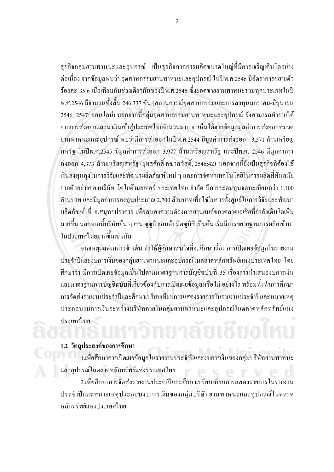ิ ธุรกิจกลุ่มยานพาหนะและอุปกรณ์ เป็นธุรกิจภาคการผลิตขนาดใหญ่ที่มีการเจริญเติบโตอย่าง ้ต่อเนื่อง จากข้อมูลพบว่า อุตสาหกรรมยานพาหนะและอุปกรณ์ ในปีพ.ศ.2546 มีอัตราการขยายตัว ร้อยละ 35.6 เมื่อเทียบกับช่วงเคียวกันของปีพ.ศ.2545 ซึ่งยอคขายยานพาหนะรวมทุกประเภทในปี ี พ.ศ.2546 มีจำนวนทั้งสิ้น 246,337 คัน (สถานการณ์อุตสาหกรรมและการลงทุนมกราคม-มิถุนายน 2546, 2547: ออนไลน์) นอกจากนี้กลุ่มอุตสาหกรรมยานพาหนะและอุปกรณ์ ยังสามารถทำรายได้ ิจากการส่งออกและนำเงินเข้าสู่ประเทศไทยจำนวนมาก จะเห็นได้จากข้อมูลมูลค่าการส่งออกหมวด ยานพาหนะและอุปกรณ์ พบว่ามีการส่งออกในปีพ.ศ.2544 มีมูลค่าการส่งออก 3,571 ล้านเหรียญ ิสหรัฐ ในปีพ.ศ.2545 มีมูลค่าการส่งออก 3,977 ล้านเหรียญสหรัฐ และปีพ.ศ. 2546 มีมูลค่าการ ้ส่งออก 4,373 ล้านเหรียญสหรัฐ (ยุทธศักดิ์ คณาสวัสดิ์, 2546:42) นอกจากนี้ยังเป็นธุรกิจที่ต้องใช้ ้เงินลงทุนสูงในการวิจัยและพัฒนาผลิตภัณฑ์ใหม่ ๆ และการจัดหาเทคโนโลยีในการผลิตที่ทันสมัย จากตัวอย่างของบริษัท โตโยต้ามอเตอร์ ประเทศไทย จำกัด มีการระดมทนจดทะเบียนกว่า 1,100 ้ล้านบาท และมีมูลค่าการลงทุนประมาณ 2,700 ล้านบาทเพื่อใช้ในการตั้งศูนย์ในการวิจัยและพัฒนา ้ผลิตภัณฑ์ ที่ จ.สมุทรปราการ เพื่อสนองความต้องการยานยนต์ของตลาดเอเชียที่กำลังเติบโตเพิ่ม มากขึ้น นอกจากนี้บริษัทอื่น ๆ เช่น ซูซูกิ ฮอนด้า มิตซูบิชิ เป็นต้น เริ่มมีการขยายฐานการผลิตเข้ามา ในประเทศไทยมากขึ้นเช่นกัน

้จากเหตุผลดังกล่าวข้างต้น ทำให้ผู้ศึกษาสนใจที่จะศึกษาเรื่อง การเปิดเผยข้อมลในรายงาน ประจำปีและงบการเงินของกลุ่มยานพาหนะและอุปกรณ์ในตลาดหลักทรัพย์แห่งประเทศไทย โดย ้ศึกษาว่า มีการเปิดเผยข้อมูลเป็นไปตามมาตรฐานการบัญชีฉบับที่ 35 เรื่องการนำเสนองบการเงิน และมาตรฐานการบัญชีฉบับที่เกี่ยวข้องกับการเปิดเผยข้อมูลหรือไม่ อย่างไร พร้อมทั้งทำการศึกษา การจัดส่งรายงานประจำปีและศึกษาเปรียบเทียบการแสดงรายการในรายงานประจำปีและหมายเหตุ ประกอบงบการเงินระหว่างบริษัทภายในกลุ่มยานพาหนะและอุปกรณ์ในตลาดหลักทรัพย์แห่ง ประเทศไทย

#### 1.2 วัตถุประสงค์ของการศึกษา

1.เพื่อศึกษาการเปิดเผยข้อมูลในรายงานประจำปีและงบการเงินของกลุ่มบริษัทยานพาหนะ และอุปกรณ์ในตลาดหลักทรัพย์แห่งประเทศไทย

2.เพื่อศึกษาการจัดส่งรายงานประจำปีและศึกษาเปรียบเทียบการแสดงรายการในรายงาน ประจำปีและหมายเหตุประกอบงบการเงินของกลุ่มบริษัทยานพาหนะและอุปกรณ์ในตลาด หลักทรัพย์แห่งประเทศไทย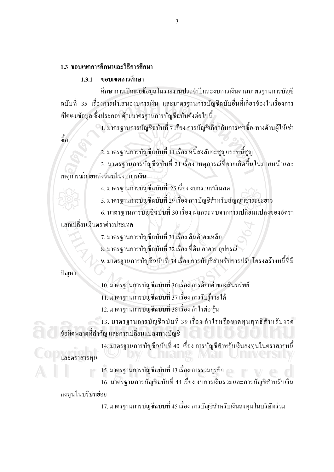# 1.3 ขอบเขตการศึกพาและวิธีการศึกนา

#### ขอบเขตการศึกนา  $1.3.1$

ศึกษาการเปิดเผยข้อมูลในรายงานประจำปีและงบการเงินตามมาตรฐานการบัญชี ิ ฉบับที่ 35 เรื่องการนำเสนองบการเงิน และมาตรฐานการบัญชีฉบับอื่นที่เกี่ยวข้องในเรื่องการ เปิดเผยข้อมูล ซึ่งประกอบด้วยมาตรฐานการบัญชีฉบับดังต่อไปนี้

ิ 1. มาตรฐานการบัญชีฉบับที่ 7 เรื่อง การบัญชีเกี่ยวกับการเช่าซื้อ-ทางด้านผู้ให้เช่า

์<br>ซีก

2. มาตรฐานการบัญชีฉบับที่ 11 เรื่อง หนี้สงสัยจะสูญและหนี้สูญ

่ 3. มาตรฐานการบัญชีฉบับที่ 21 เรื่อง เหตุการณ์ที่อาจเกิดขึ้นในภายหน้าและ เหตุการณ์ภายหลังวันที่ในงบการเงิน

4. มาตรฐานการบัญชีฉบับที่ 25 เรื่อง งบกระแสเงินสด

5. มาตรฐานการบัญชีฉบับที่ 29 เรื่อง การบัญชีสำหรับสัญญาเช่าระยะยาว

6. มาตรฐานการบัญชีฉบับที่ 30 เรื่อง ผลกระทบจากการเปลี่ยนแปลงของอัตรา แลกเปลี่ยนเงินตราต่างประเทศ

7. มาตรฐานการบัญชีฉบับที่ 31 เรื่อง สินค้าคงเหลือ

ี่ 8. มาตรฐานการบัญชีฉบับที่ 32 เรื่อง ที่ดิน อาคาร อุปกรณ์

9. มาตรฐานการบัญชีฉบับที่ 34 เรื่อง การบัญชีสำหรับการปรับโครงสร้างหนี้ที่มี

ปัญหา

10. มาตรฐานการบัญชีฉบับที่ 36 เรื่อง การด้อยค่าของสินทรัพย์ 11. มาตรฐานการบัญชีฉบับที่ 37 เรื่อง การรับรู้รายได้

12. มาตรจานการบัญชีฉบับที่ 38 เรื่อง กำไรต่อห้น

13. มาตรฐานการบัญชีฉบับที่ 39 เรื่อง กำไรหรือขาดทุนสุทธิสำหรับงวด ข้อผิดพลาดที่สำคัญ และการเปลี่ยนแปลงทางบัญชี

14. มาตรฐานการบัญชีฉบับที่ 40 เรื่อง การบัญชีสำหรับเงินลงทุนในตราสารหนี้

และตราสารทน

15. มาตรฐานการบัญชีฉบับที่ 43 เรื่อง การรวมธุรกิจ 16. มาตรฐานการบัญชีฉบับที่ 44 เรื่อง งบการเงินรวมและการบัญชีสำหรับเงิน ลงทุนในบริษัทย่อย

17. มาตรฐานการบัญชีฉบับที่ 45 เรื่อง การบัญชีสำหรับเงินลงทุนในบริษัทร่วม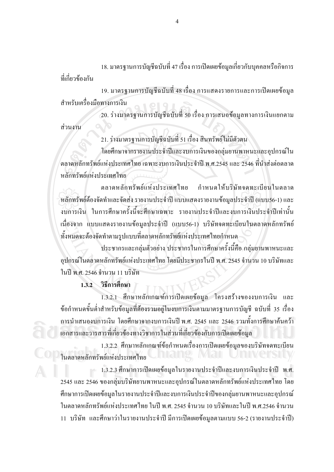18. มาตรฐานการบัญชีฉบับที่ 47 เรื่อง การเปิดเผยข้อมูลเกี่ยวกับบุคคลหรือกิจการ ที่เกี่ยวข้องกับ

19. มาตรฐานการบัญชีฉบับที่ 48 เรื่อง การแสดงรายการและการเปิดเผยข้อมูล สำหรับเครื่องมือทางการเงิน

่ 20. ร่างมาตรฐานการบัญชีฉบับที่ 50 เรื่อง การเสนอข้อมูลทางการเงินแยกตาม ส่วนงาน

21. ร่างมาตรฐานการบัญชีฉบับที่ 51 เรื่อง สินทรัพย์ไม่มีตัวตน

โดยศึกษาจากรายงานประจำปีและงบการเงินของกลุ่มยานพาหนะและอุปกรณ์ใน ็ตถาดหลักทรัพย์แห่งประเทศไทย เฉพาะงบการเงินประจำปี พ.ศ.2545 และ 2546 ที่นำส่งต่อตลาด หลักทรัพย์แห่งประเทศไทย

ตลาดหลักทรัพย์แห่งประเทศไทย กำหบดให้บริษัทจดทะเบียบใบตลาด หลักทรัพย์ต้องจัดทำและจัดส่ง รายงานประจำปี แบบแสดงรายงานข้อมลประจำปี (แบบ56-1) และ ึ่งบการเงิน ในการศึกษาครั้งนี้จะศึกษาเฉพาะ รายงานประจำปีและงบการเงินประจำปีเท่านั้น เนื่องจาก แบบแสคงรายงานข้อมูลประจำปี (แบบ56-1) บริษัทจคทะเบียนในตลาคหลักทรัพย์ ทั้งหมดจะต้องจัดทำตามรูปแบบที่ตลาดหลักทรัพย์แห่งประเทศไทยกำหนด

์ประชากรและกล่มตัวอย่าง ประชากรในการศึกษาครั้งนี้คือ กล่มยานพาหนะและ อุปกรณ์ในตลาดหลักทรัพย์แห่งประเทศไทย โดยมีประชากรในปี พ.ศ. 2545 จำนวน 10 บริษัทและ ใบปี พ.ศ. 2546 จำนวน 11 บริษัท

1.3.2 วิธีการศึกษา

1.3.2.1 ศึกษาหลักเกณฑ์การเปิดเผยข้อมูล โครงสร้างของงบการเงิน และ ้ ข้อกำหนดขั้นต่ำสำหรับข้อมูลที่ต้องรวมอยู่ในงบการเงินตามมาตรฐานการบัญชี ฉบับที่ 35 เรื่อง ี การนำเสนองบการเงิน โดยศึกษาจากงบการเงินปี พ.ศ. 2545 และ 2546 รวมทั้งการศึกษาค้นคว้า เอกสารและวารสารที่เกี่ยวข้องทางวิชาการในส่วนที่เกี่ยวข้องกับการเปิดเผยข้อมล

1.3.2.2 ศึกษาหลักเกณฑ์ข้อกำหนดเรื่องการเปิดเผยข้อมูลของบริษัทจดทะเบียน ในตลาดหลักทรัพย์แห่งประเทศไทย

1.3.2.3 ศึกษาการเปิดเผยข้อมูลในรายงานประจำปีและงบการเงินประจำปี พ.ศ. 2545 และ 2546 ของกลุ่มบริษัทยานพาหนะและอุปกรณ์ในตลาดหลักทรัพย์แห่งประเทศไทย โดย ศึกษาการเปิดเผยข้อมูลในรายงานประจำปีและงบการเงินประจำปีของกลุ่มยานพาหนะและอุปกรณ์ ในตลาดหลักทรัพย์แห่งประเทศไทย ในปี พ.ศ. 2545 จำนวน 10 บริษัทและในปี พ.ศ.2546 จำนวน 11 บริษัท และศึกษาว่าในรายงานประจำปี มีการเปิดเผยข้อมูลตามแบบ 56-2 (รายงานประจำปี)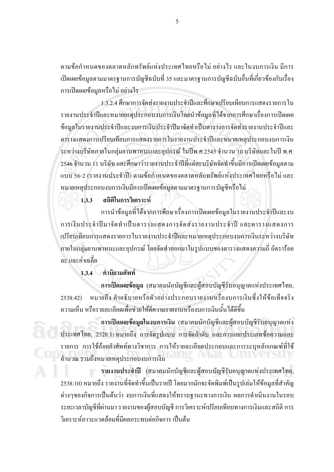้ตามข้อกำหนดของตลาดหลักทรัพย์แห่งประเทศไทยหรือไม่ อย่างไร และในงบการเงิน มีการ ้เปิดเผยข้อมูลตามมาตรฐานการบัญชีฉบับที่ 35 และมาตรฐานการบัญชีฉบับอื่นที่เกี่ยวข้องกับเรื่อง ึการเปิดเผยข้อมูลหรือไม่ อย่างไร

1.3.2.4 ศึกษาการจัดส่งรายงานประจำปีและศึกษาเปรียบเทียบการแสดงรายการใน รายงานประจำปีและหมายเหตุประกอบงบการเงินโดยนำข้อมูลที่ได้จากการศึกษาเรื่องการเปิดเผย ข้อมูลในรายงานประจำปีและงบการเงินประจำปีมาจัดทำเป็นตารางการจัดส่งรายงานประจำปีและ ตารางแสดงการเปรียบเทียบการแสดงรายการในรายงานประจำปีและหมายเหตุประกอบงบการเงิน ระหว่างบริษัทภายในกลุ่มยานพาหนะและอุปกรณ์ ในปีพ.ศ.2545 จำนวน 10 บริษัทและในปี พ.ศ. 2546 จำนวน 11 บริษัท และศึกษาว่ารายงานประจำปีที่แต่ละบริษัทจัดทำขึ้นมีการเปิดเผยข้อมูลตาม แบบ 56-2 (รายงานประจำปี) ตามข้อกำหนดของตลาดหลักทรัพย์แห่งประเทศไทยหรือไม่ และ หมายเหตุประกอบงบการเงินมีการเปิดเผยข้อมูลตามมาตรฐานการบัญชีหรือไม่

ิสถิติในการวิเคราะห์  $1,3,3$ 

การนำข้อมูลที่ได้จากการศึกษาเรื่องการเปิดเผยข้อมูลในรายงานประจำปีและงบ การเงินประจำปีมาจัดทำเป็นตารางแสดงการจัดส่งรายงานประจำปี และตารางแสดงการ ้เปรียบเทียบการแสดงรายการในรายงานประจำปีและหมายเหตประกอบงบการเงินระหว่างบริษัท ึภายในกลุ่มยานพาหนะและอุปกรณ์ โดยจัดทำออกมาในรูปแบบของตารางแสดงความถี่ อัตราร้อย ถะ และค่าเฉลี่ย

∕ คำนิยามศัพท์  $1.3.4$ 

การเปิดเผยข้อมูล (สมาคมนักบัญชีและผู้สอบบัญชีรับอนุญาตแห่งประเทศไทย, หมายถึง คำอธิบายหรือตัวอย่างประกอบรายงานหรืองบการเงินซึ่งให้ข้อเท็จจริง  $2538:42$ ้ความเห็น หรือรายละเอียดเพื่อช่วยให้ตีความรายงานหรืองบการเงินนั้นได้ดีขึ้น

การเปิดเผยข้อมูลในงบการเงิน (สมาคมนักบัญชีและผู้สอบบัญชีรับอนุญาตแห่ง ประเทศไทย, 2528:1) หมายถึง การจัดรูปแบบ การจัดลำคับ และการแยกประเภทข้อความและ ้รายการ การใช้ถ้อยคำศัพท์ทางวิชาการ การให้รายละเอียดประกอบและการระบหลักเกณฑ์ที่ใช้ ้คำนวณ รวมถึงหมายเหตุประกอบงบการเงิน

รายงานประจำปี (สมาคมนักบัญชีและผู้สอบบัญชีรับอนุญาตแห่งประเทศไทย, 2538:10) หมายถึง รายงานที่จัดทำขึ้นเป็นรายปี โดยมากมักจะจัดพิมพ์เป็นรปเล่มให้ข้อมลที่สำคัญ ้ต่างๆของกิจการเป็นต้นว่า งบการเงินที่แสดงให้ทราบฐานะทางการเงิน ผลการดำเนินงานในรอบ ้ ระยะเวลาบัญชีที่ผ่านมา รายงานของผู้สอบบัญชี การวิเคราะห์เปรียบเทียบทางการเงินและสถิติ การ วิเคราะห์ภาวะแวคล้อมที่มีผลกระทบต่อกิจการ เป็นต้น